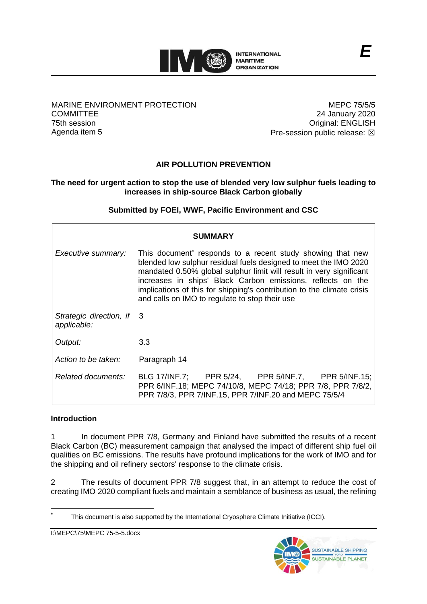

#### MARINE ENVIRONMENT PROTECTION **COMMITTEE** 75th session Agenda item 5

MEPC 75/5/5 24 January 2020 Original: ENGLISH Pre-session public release:  $\boxtimes$ 

# **AIR POLLUTION PREVENTION**

## **The need for urgent action to stop the use of blended very low sulphur fuels leading to increases in ship-source Black Carbon globally**

# **Submitted by FOEI, WWF, Pacific Environment and CSC**

| SUMMARY                                  |                                                                                                                                                                                                                                                                                                                                                                                                 |
|------------------------------------------|-------------------------------------------------------------------------------------------------------------------------------------------------------------------------------------------------------------------------------------------------------------------------------------------------------------------------------------------------------------------------------------------------|
| Executive summary:                       | This document responds to a recent study showing that new<br>blended low sulphur residual fuels designed to meet the IMO 2020<br>mandated 0.50% global sulphur limit will result in very significant<br>increases in ships' Black Carbon emissions, reflects on the<br>implications of this for shipping's contribution to the climate crisis<br>and calls on IMO to regulate to stop their use |
| Strategic direction, if 3<br>applicable: |                                                                                                                                                                                                                                                                                                                                                                                                 |
| Output:                                  | 3.3                                                                                                                                                                                                                                                                                                                                                                                             |
| Action to be taken:                      | Paragraph 14                                                                                                                                                                                                                                                                                                                                                                                    |
| Related documents:                       | BLG 17/INF.7; PPR 5/24, PPR 5/INF.7, PPR 5/INF.15;<br>PPR 6/INF.18; MEPC 74/10/8, MEPC 74/18; PPR 7/8, PPR 7/8/2,<br>PPR 7/8/3, PPR 7/INF.15, PPR 7/INF.20 and MEPC 75/5/4                                                                                                                                                                                                                      |

### **Introduction**

1 In document PPR 7/8, Germany and Finland have submitted the results of a recent Black Carbon (BC) measurement campaign that analysed the impact of different ship fuel oil qualities on BC emissions. The results have profound implications for the work of IMO and for the shipping and oil refinery sectors' response to the climate crisis.

2 The results of document PPR 7/8 suggest that, in an attempt to reduce the cost of creating IMO 2020 compliant fuels and maintain a semblance of business as usual, the refining

This document is also supported by the International Cryosphere Climate Initiative (ICCI).



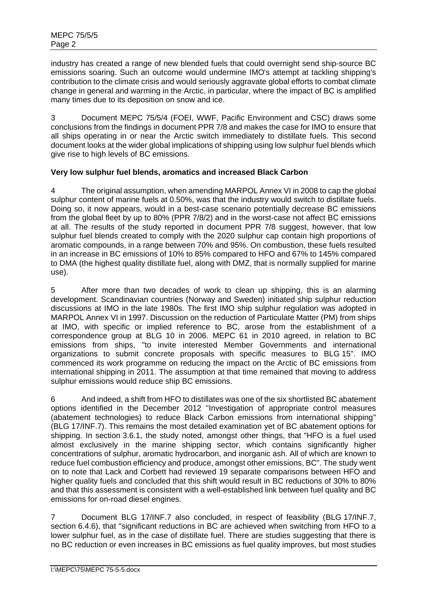industry has created a range of new blended fuels that could overnight send ship-source BC emissions soaring. Such an outcome would undermine IMO's attempt at tackling shipping's contribution to the climate crisis and would seriously aggravate global efforts to combat climate change in general and warming in the Arctic, in particular, where the impact of BC is amplified many times due to its deposition on snow and ice.

3 Document MEPC 75/5/4 (FOEI, WWF, Pacific Environment and CSC) draws some conclusions from the findings in document PPR 7/8 and makes the case for IMO to ensure that all ships operating in or near the Arctic switch immediately to distillate fuels. This second document looks at the wider global implications of shipping using low sulphur fuel blends which give rise to high levels of BC emissions.

# **Very low sulphur fuel blends, aromatics and increased Black Carbon**

4 The original assumption, when amending MARPOL Annex VI in 2008 to cap the global sulphur content of marine fuels at 0.50%, was that the industry would switch to distillate fuels. Doing so, it now appears, would in a best-case scenario potentially decrease BC emissions from the global fleet by up to 80% (PPR 7/8/2) and in the worst-case not affect BC emissions at all. The results of the study reported in document PPR 7/8 suggest, however, that low sulphur fuel blends created to comply with the 2020 sulphur cap contain high proportions of aromatic compounds, in a range between 70% and 95%. On combustion, these fuels resulted in an increase in BC emissions of 10% to 85% compared to HFO and 67% to 145% compared to DMA (the highest quality distillate fuel, along with DMZ, that is normally supplied for marine use).

5 After more than two decades of work to clean up shipping, this is an alarming development. Scandinavian countries (Norway and Sweden) initiated ship sulphur reduction discussions at IMO in the late 1980s. The first IMO ship sulphur regulation was adopted in MARPOL Annex VI in 1997. Discussion on the reduction of Particulate Matter (PM) from ships at IMO, with specific or implied reference to BC, arose from the establishment of a correspondence group at BLG 10 in 2006. MEPC 61 in 2010 agreed, in relation to BC emissions from ships, "to invite interested Member Governments and international organizations to submit concrete proposals with specific measures to BLG 15". IMO commenced its work programme on reducing the impact on the Arctic of BC emissions from international shipping in 2011. The assumption at that time remained that moving to address sulphur emissions would reduce ship BC emissions.

6 And indeed, a shift from HFO to distillates was one of the six shortlisted BC abatement options identified in the December 2012 "Investigation of appropriate control measures (abatement technologies) to reduce Black Carbon emissions from international shipping" (BLG 17/INF.7). This remains the most detailed examination yet of BC abatement options for shipping. In section 3.6.1, the study noted, amongst other things, that "HFO is a fuel used almost exclusively in the marine shipping sector, which contains significantly higher concentrations of sulphur, aromatic hydrocarbon, and inorganic ash. All of which are known to reduce fuel combustion efficiency and produce, amongst other emissions, BC". The study went on to note that Lack and Corbett had reviewed 19 separate comparisons between HFO and higher quality fuels and concluded that this shift would result in BC reductions of 30% to 80% and that this assessment is consistent with a well-established link between fuel quality and BC emissions for on-road diesel engines.

7 Document BLG 17/INF.7 also concluded, in respect of feasibility (BLG 17/INF.7, section 6.4.6), that "significant reductions in BC are achieved when switching from HFO to a lower sulphur fuel, as in the case of distillate fuel. There are studies suggesting that there is no BC reduction or even increases in BC emissions as fuel quality improves, but most studies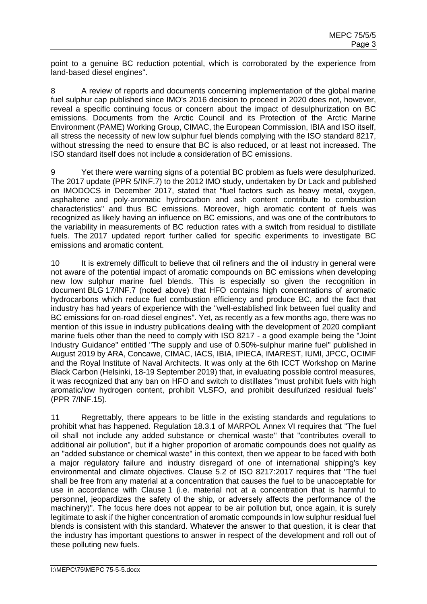point to a genuine BC reduction potential, which is corroborated by the experience from land-based diesel engines".

8 A review of reports and documents concerning implementation of the global marine fuel sulphur cap published since IMO's 2016 decision to proceed in 2020 does not, however, reveal a specific continuing focus or concern about the impact of desulphurization on BC emissions. Documents from the Arctic Council and its Protection of the Arctic Marine Environment (PAME) Working Group, CIMAC, the European Commission, IBIA and ISO itself, all stress the necessity of new low sulphur fuel blends complying with the ISO standard 8217, without stressing the need to ensure that BC is also reduced, or at least not increased. The ISO standard itself does not include a consideration of BC emissions.

9 Yet there were warning signs of a potential BC problem as fuels were desulphurized. The 2017 update (PPR 5/INF.7) to the 2012 IMO study, undertaken by Dr Lack and published on IMODOCS in December 2017, stated that "fuel factors such as heavy metal, oxygen, asphaltene and poly-aromatic hydrocarbon and ash content contribute to combustion characteristics" and thus BC emissions. Moreover, high aromatic content of fuels was recognized as likely having an influence on BC emissions, and was one of the contributors to the variability in measurements of BC reduction rates with a switch from residual to distillate fuels. The 2017 updated report further called for specific experiments to investigate BC emissions and aromatic content.

10 It is extremely difficult to believe that oil refiners and the oil industry in general were not aware of the potential impact of aromatic compounds on BC emissions when developing new low sulphur marine fuel blends. This is especially so given the recognition in document BLG 17/INF.7 (noted above) that HFO contains high concentrations of aromatic hydrocarbons which reduce fuel combustion efficiency and produce BC, and the fact that industry has had years of experience with the "well-established link between fuel quality and BC emissions for on-road diesel engines". Yet, as recently as a few months ago, there was no mention of this issue in industry publications dealing with the development of 2020 compliant marine fuels other than the need to comply with ISO 8217 - a good example being the "Joint Industry Guidance" entitled "The supply and use of 0.50%-sulphur marine fuel" published in August 2019 by ARA, Concawe, CIMAC, IACS, IBIA, IPIECA, IMAREST, IUMI, JPCC, OCIMF and the Royal Institute of Naval Architects. It was only at the 6th ICCT Workshop on Marine Black Carbon (Helsinki, 18-19 September 2019) that, in evaluating possible control measures, it was recognized that any ban on HFO and switch to distillates "must prohibit fuels with high aromatic/low hydrogen content, prohibit VLSFO, and prohibit desulfurized residual fuels" (PPR 7/INF.15).

11 Regrettably, there appears to be little in the existing standards and regulations to prohibit what has happened. Regulation 18.3.1 of MARPOL Annex VI requires that "The fuel oil shall not include any added substance or chemical waste" that "contributes overall to additional air pollution", but if a higher proportion of aromatic compounds does not qualify as an "added substance or chemical waste" in this context, then we appear to be faced with both a major regulatory failure and industry disregard of one of international shipping's key environmental and climate objectives. Clause 5.2 of ISO 8217:2017 requires that "The fuel shall be free from any material at a concentration that causes the fuel to be unacceptable for use in accordance with Clause 1 (i.e. material not at a concentration that is harmful to personnel, jeopardizes the safety of the ship, or adversely affects the performance of the machinery)". The focus here does not appear to be air pollution but, once again, it is surely legitimate to ask if the higher concentration of aromatic compounds in low sulphur residual fuel blends is consistent with this standard. Whatever the answer to that question, it is clear that the industry has important questions to answer in respect of the development and roll out of these polluting new fuels.